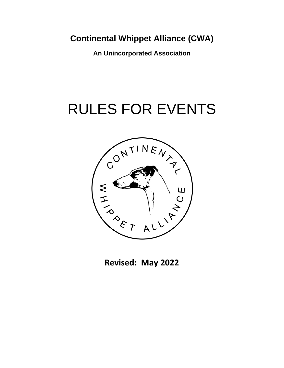**An Unincorporated Association**

# RULES FOR EVENTS



**Revised: May 2022**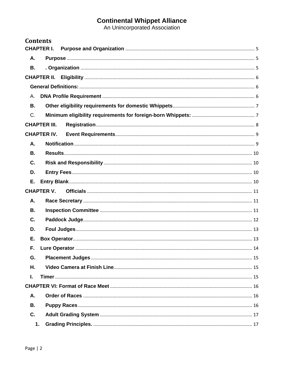| <b>Contents</b>     |  |
|---------------------|--|
| <b>CHAPTER I.</b>   |  |
| Α.                  |  |
| <b>B.</b>           |  |
|                     |  |
|                     |  |
| Α.                  |  |
| <b>B.</b>           |  |
| $C_{\cdot}$         |  |
| <b>CHAPTER III.</b> |  |
| <b>CHAPTER IV.</b>  |  |
| Α.                  |  |
| В.                  |  |
| C.                  |  |
| D.                  |  |
| Е.                  |  |
| <b>CHAPTER V.</b>   |  |
| А.                  |  |
| <b>B.</b>           |  |
| C.                  |  |
| D.                  |  |
| Е.                  |  |
| F.                  |  |
| G.                  |  |
| Η.                  |  |
| I.                  |  |
|                     |  |
| Α.                  |  |
| <b>B.</b>           |  |
| C.                  |  |
| 1.                  |  |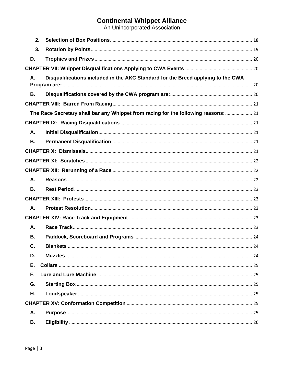| 2.        |                                                                                     |  |
|-----------|-------------------------------------------------------------------------------------|--|
| 3.        |                                                                                     |  |
| D.        |                                                                                     |  |
|           |                                                                                     |  |
| Α.        | Disqualifications included in the AKC Standard for the Breed applying to the CWA    |  |
|           |                                                                                     |  |
| В.        |                                                                                     |  |
|           |                                                                                     |  |
|           | The Race Secretary shall bar any Whippet from racing for the following reasons:  21 |  |
|           |                                                                                     |  |
| А.        |                                                                                     |  |
| <b>B.</b> |                                                                                     |  |
|           |                                                                                     |  |
|           |                                                                                     |  |
|           |                                                                                     |  |
| А.        |                                                                                     |  |
| <b>B.</b> |                                                                                     |  |
|           |                                                                                     |  |
| А.        |                                                                                     |  |
|           |                                                                                     |  |
| Α.        |                                                                                     |  |
| В.        |                                                                                     |  |
| С.        |                                                                                     |  |
| D.        |                                                                                     |  |
| Е.        |                                                                                     |  |
| F.        |                                                                                     |  |
| G.        |                                                                                     |  |
| Η.        |                                                                                     |  |
|           |                                                                                     |  |
| Α.        |                                                                                     |  |
| В.        |                                                                                     |  |
|           |                                                                                     |  |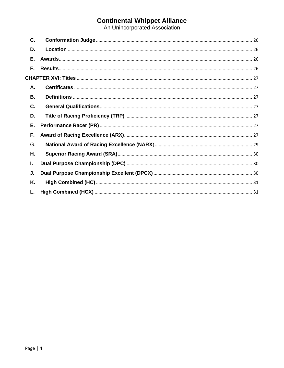| C. |  |
|----|--|
| D. |  |
| Е. |  |
| F. |  |
|    |  |
| А. |  |
| В. |  |
| C. |  |
| D. |  |
| Е. |  |
| F. |  |
| G. |  |
| Η. |  |
| L. |  |
| J. |  |
| Κ. |  |
|    |  |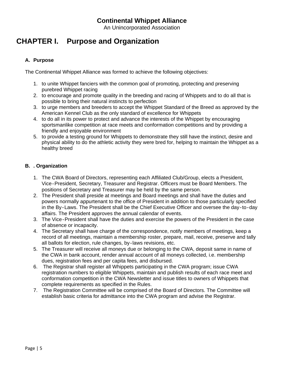An Unincorporated Association

## <span id="page-4-0"></span>**CHAPTER I. Purpose and Organization**

#### <span id="page-4-1"></span>**A. Purpose**

The Continental Whippet Alliance was formed to achieve the following objectives:

- 1. to unite Whippet fanciers with the common goal of promoting, protecting and preserving purebred Whippet racing
- 2. to encourage and promote quality in the breeding and racing of Whippets and to do all that is possible to bring their natural instincts to perfection
- 3. to urge members and breeders to accept the Whippet Standard of the Breed as approved by the American Kennel Club as the only standard of excellence for Whippets
- 4. to do all in its power to protect and advance the interests of the Whippet by encouraging sportsmanlike competition at race meets and conformation competitions and by providing a friendly and enjoyable environment
- 5. to provide a testing ground for Whippets to demonstrate they still have the instinct, desire and physical ability to do the athletic activity they were bred for, helping to maintain the Whippet as a healthy breed

#### <span id="page-4-2"></span>**B. . Organization**

- 1. The CWA Board of Directors, representing each Affiliated Club/Group, elects a President, Vice‐President, Secretary, Treasurer and Registrar. Officers must be Board Members. The positions of Secretary and Treasurer may be held by the same person.
- 2. The President shall preside at meetings and Board meetings and shall have the duties and powers normally appurtenant to the office of President in addition to those particularly specified in the By‐Laws. The President shall be the Chief Executive Officer and oversee the day‐to‐day affairs. The President approves the annual calendar of events.
- 3. The Vice‐President shall have the duties and exercise the powers of the President in the case of absence or incapacity.
- 4. The Secretary shall have charge of the correspondence, notify members of meetings, keep a record of all meetings, maintain a membership roster, prepare, mail, receive, preserve and tally all ballots for election, rule changes, by‐laws revisions, etc.
- 5. The Treasurer will receive all moneys due or belonging to the CWA, deposit same in name of the CWA in bank account, render annual account of all moneys collected, i.e. membership dues, registration fees and per capita fees, and disbursed.
- 6. The Registrar shall register all Whippets participating in the CWA program; issue CWA registration numbers to eligible Whippets, maintain and publish results of each race meet and conformation competition in the CWA Newsletter and issue titles to owners of Whippets that complete requirements as specified in the Rules.
- 7. The Registration Committee will be comprised of the Board of Directors. The Committee will establish basic criteria for admittance into the CWA program and advise the Registrar.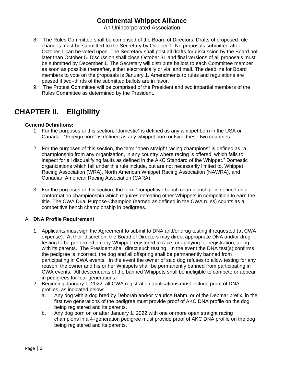An Unincorporated Association

- 8. The Rules Committee shall be comprised of the Board of Directors. Drafts of proposed rule changes must be submitted to the Secretary by October 1. No proposals submitted after October 1 can be voted upon. The Secretary shall post all drafts for discussion by the Board not later than October 5. Discussion shall close October 31 and final versions of all proposals must be submitted by December 1. The Secretary will distribute ballots to each Committee member as soon as possible thereafter, either electronically or via land mail. The deadline for Board members to vote on the proposals is January 1. Amendments to rules and regulations are passed if two-thirds of the submitted ballots are in favor.
- 9. The Protest Committee will be comprised of the President and two impartial members of the Rules Committee as determined by the President.

# <span id="page-5-0"></span>**CHAPTER II. Eligibility**

#### <span id="page-5-1"></span>**General Definitions:**

- 1. For the purposes of this section, "domestic" is defined as any whippet born in the USA or Canada. "Foreign born" is defined as any whippet born outside these two countries.
- 2. For the purposes of this section, the term "open straight racing champions" is defined as "a championship from any organization, in any country where racing is offered, which fails to inspect for all disqualifying faults as defined in the AKC Standard of the Whippet." Domestic organizations which fall under this rule include, but are not necessarily limited to, Whippet Racing Association (WRA), North American Whippet Racing Association (NAWRA), and Canadian American Racing Association (CARA).
- 3. For the purposes of this section, the term "competitive bench championship" is defined as a conformation championship which requires defeating other Whippets in competition to earn the title. The CWA Dual Purpose Champion (earned as defined in the CWA rules) counts as a competitive bench championship in pedigrees.

#### <span id="page-5-2"></span>A. **DNA Profile Requirement**

- 1. Applicants must sign the Agreement to submit to DNA and/or drug testing if requested (at CWA expense). At their discretion, the Board of Directors may direct appropriate DNA and/or drug testing to be performed on any Whippet registered to race, or applying for registration, along with its parents. The President shall direct such testing. In the event the DNA test(s) confirms the pedigree is incorrect, the dog and all offspring shall be permanently banned from participating in CWA events. In the event the owner of said dog refuses to allow testing for any reason, the owner and his or her Whippets shall be permanently banned from participating in CWA events. All descendants of the banned Whippets shall be ineligible to compete or appear in pedigrees for four generations.
- 2. Beginning January 1, 2022, all CWA registration applications must include proof of DNA profiles, as indicated below:
	- a. Any dog with a dog bred by Deborah and/or Maurice Bahm, or of the Debmar prefix, in the first two generations of the pedigree must provide proof of AKC DNA profile on the dog being registered and its parents.
	- b. Any dog born on or after January 1, 2022 with one or more open straight racing champions in a 4‐generation pedigree must provide proof of AKC DNA profile on the dog being registered and its parents.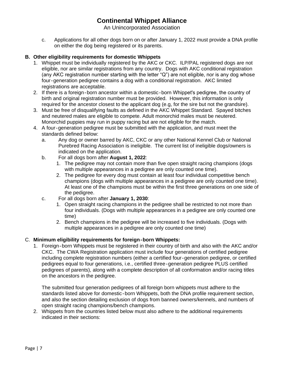An Unincorporated Association

c. Applications for all other dogs born on or after January 1, 2022 must provide a DNA profile on either the dog being registered or its parents.

#### <span id="page-6-0"></span>**B. Other eligibility requirements for domestic Whippets**

- 1. Whippet must be individually registered by the AKC or CKC. ILP/PAL registered dogs are not eligible, nor are similar registrations from any country. Dogs with AKC conditional registration (any AKC registration number starting with the letter "Q") are not eligible, nor is any dog whose four‐generation pedigree contains a dog with a conditional registration. AKC limited registrations are acceptable.
- 2. If there is a foreign‐born ancestor within a domestic‐born Whippetʹs pedigree, the country of birth and original registration number must be provided. However, this information is only required for the ancestor closest to the applicant dog (e.g, for the sire but not the grandsire).
- 3. Must be free of disqualifying faults as defined in the AKC Whippet Standard. Spayed bitches and neutered males are eligible to compete. Adult monorchid males must be neutered. Monorchid puppies may run in puppy racing but are not eligible for the match.
- 4. A four‐generation pedigree must be submitted with the application, and must meet the standards defined below:
	- a. Any dog or owner barred by AKC, CKC or any other National Kennel Club or National Purebred Racing Association is ineligible. The current list of ineligible dogs/owners is indicated on the application.
	- b. For all dogs born after **August 1, 2022**:
		- 1. The pedigree may not contain more than five open straight racing champions (dogs with multiple appearances in a pedigree are only counted one time).
		- 2. The pedigree for every dog must contain at least four individual competitive bench champions (dogs with multiple appearances in a pedigree are only counted one time). At least one of the champions must be within the first three generations on one side of the pedigree.
	- c. For all dogs born after **January 1, 2030**:
		- 1. Open straight racing champions in the pedigree shall be restricted to not more than four individuals. (Dogs with multiple appearances in a pedigree are only counted one time)
		- 2. Bench champions in the pedigree will be increased to five individuals. (Dogs with multiple appearances in a pedigree are only counted one time)

#### <span id="page-6-1"></span>C. **Minimum eligibility requirements for foreign‐born Whippets:**

1. Foreign‐born Whippets must be registered in their country of birth and also with the AKC and/or CKC. The CWA Registration application must include four generations of certified pedigree including complete registration numbers (either a certified four‐generation pedigree, or certified pedigrees equal to four generations, i.e., certified three‐generation pedigree PLUS certified pedigrees of parents), along with a complete description of all conformation and/or racing titles on the ancestors in the pedigree.

The submitted four generation pedigrees of all foreign born whippets must adhere to the standards listed above for domestic‐born Whippets, both the DNA profile requirement section, and also the section detailing exclusion of dogs from banned owners/kennels, and numbers of open straight racing champions/bench champions.

2. Whippets from the countries listed below must also adhere to the additional requirements indicated in their sections: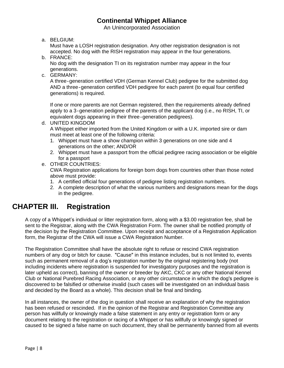An Unincorporated Association

a. BELGIUM:

Must have a LOSH registration designation. Any other registration designation is not accepted. No dog with the RISH registration may appear in the four generations.

b. FRANCE:

No dog with the designation TI on its registration number may appear in the four generations.

c. GERMANY:

A three‐generation certified VDH (German Kennel Club) pedigree for the submitted dog AND a three‐generation certified VDH pedigree for each parent (to equal four certified generations) is required.

If one or more parents are not German registered, then the requirements already defined apply to a 3‐generation pedigree of the parents of the applicant dog (i.e., no RISH, TI, or equivalent dogs appearing in their three‐generation pedigrees).

d. UNITED KINGDOM

A Whippet either imported from the United Kingdom or with a U.K. imported sire or dam must meet at least one of the following criteria:

- 1. Whippet must have a show champion within 3 generations on one side and 4 generations on the other; AND/OR
- 2. Whippet must have a passport from the official pedigree racing association or be eligible for a passport
- e. OTHER COUNTRIES:

CWA Registration applications for foreign born dogs from countries other than those noted above must provide:

- 1. A certified official four generations of pedigree listing registration numbers.
- 2. A complete description of what the various numbers and designations mean for the dogs in the pedigree.

## <span id="page-7-0"></span>**CHAPTER III. Registration**

A copy of a Whippet's individual or litter registration form, along with a \$3.00 registration fee, shall be sent to the Registrar, along with the CWA Registration Form. The owner shall be notified promptly of the decision by the Registration Committee. Upon receipt and acceptance of a Registration Application form, the Registrar of the CWA will issue a CWA Registration Number.

The Registration Committee shall have the absolute right to refuse or rescind CWA registration numbers of any dog or bitch for cause. "Cause" in this instance includes, but is not limited to, events such as permanent removal of a dog's registration number by the original registering body (not including incidents where registration is suspended for investigatory purposes and the registration is later upheld as correct), banning of the owner or breeder by AKC, CKC or any other National Kennel Club or National Purebred Racing Association, or any other circumstance in which the dogʹs pedigree is discovered to be falsified or otherwise invalid (such cases will be investigated on an individual basis and decided by the Board as a whole). This decision shall be final and binding.

In all instances, the owner of the dog in question shall receive an explanation of why the registration has been refused or rescinded. If in the opinion of the Registrar and Registration Committee any person has willfully or knowingly made a false statement in any entry or registration form or any document relating to the registration or racing of a Whippet or has willfully or knowingly signed or caused to be signed a false name on such document, they shall be permanently banned from all events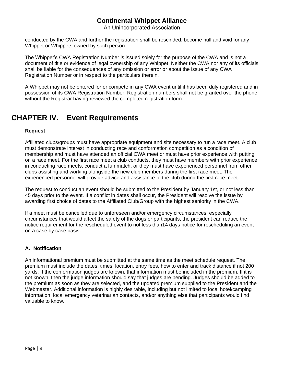An Unincorporated Association

conducted by the CWA and further the registration shall be rescinded, become null and void for any Whippet or Whippets owned by such person.

The Whippet's CWA Registration Number is issued solely for the purpose of the CWA and is not a document of title or evidence of legal ownership of any Whippet. Neither the CWA nor any of its officials shall be liable for the consequences of any omission or error or about the issue of any CWA Registration Number or in respect to the particulars therein.

A Whippet may not be entered for or compete in any CWA event until it has been duly registered and in possession of its CWA Registration Number. Registration numbers shall not be granted over the phone without the Registrar having reviewed the completed registration form.

# <span id="page-8-0"></span>**CHAPTER IV. Event Requirements**

#### **Request**

Affiliated clubs/groups must have appropriate equipment and site necessary to run a race meet. A club must demonstrate interest in conducting race and conformation competition as a condition of membership and must have attended an official CWA meet or must have prior experience with putting on a race meet. For the first race meet a club conducts, they must have members with prior experience in conducting race meets, conduct a fun match, or they must have experienced personnel from other clubs assisting and working alongside the new club members during the first race meet. The experienced personnel will provide advice and assistance to the club during the first race meet.

The request to conduct an event should be submitted to the President by January 1st, or not less than 45 days prior to the event. If a conflict in dates shall occur, the President will resolve the issue by awarding first choice of dates to the Affiliated Club/Group with the highest seniority in the CWA.

If a meet must be cancelled due to unforeseen and/or emergency circumstances, especially circumstances that would affect the safety of the dogs or participants, the president can reduce the notice requirement for the rescheduled event to not less than14 days notice for rescheduling an event on a case by case basis.

#### <span id="page-8-1"></span>**A. Notification**

An informational premium must be submitted at the same time as the meet schedule request. The premium must include the dates, times, location, entry fees, how to enter and track distance if not 200 yards. If the conformation judges are known, that information must be included in the premium. If it is not known, then the judge information should say that judges are pending. Judges should be added to the premium as soon as they are selected, and the updated premium supplied to the President and the Webmaster. Additional information is highly desirable, including but not limited to local hotel/camping information, local emergency veterinarian contacts, and/or anything else that participants would find valuable to know.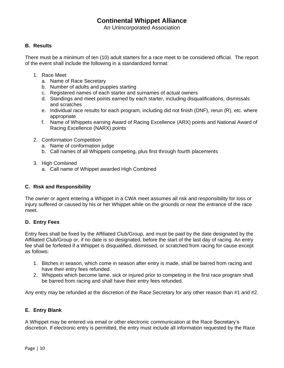An Unincorporated Association

#### <span id="page-9-0"></span>**B. Results**

There must be a minimum of ten (10) adult starters for a race meet to be considered official. The report of the event shall include the following in a standardized format:

- 1. Race Meet
	- a. Name of Race Secretary
	- b. Number of adults and puppies starting
	- c. Registered names of each starter and surnames of actual owners
	- d. Standings and meet points earned by each starter, including disqualifications, dismissals and scratches
	- e. Individual race results for each program, including did not finish (DNF), rerun (R), etc. where appropriate
	- f. Name of Whippets earning Award of Racing Excellence (ARX) points and National Award of Racing Excellence (NARX) points
- 2. Conformation Competition
	- a. Name of conformation judge
	- b. Call names of all Whippets competing, plus first through fourth placements
- 3. High Combined
	- a. Call name of Whippet awarded High Combined

#### <span id="page-9-1"></span>**C. Risk and Responsibility**

The owner or agent entering a Whippet in a CWA meet assumes all risk and responsibility for loss or injury suffered or caused by his or her Whippet while on the grounds or near the entrance of the race meet.

#### <span id="page-9-2"></span>**D. Entry Fees**

Entry fees shall be fixed by the Affiliated Club/Group, and must be paid by the date designated by the Affiliated Club/Group or, if no date is so designated, before the start of the last day of racing. An entry fee shall be forfeited if a Whippet is disqualified, dismissed, or scratched from racing for cause except as follows:

- 1. Bitches in season, which come in season after entry is made, shall be barred from racing and have their entry fees refunded.
- 2. Whippets which become lame, sick or injured prior to competing in the first race program shall be barred from racing and shall have their entry fees refunded.

Any entry may be refunded at the discretion of the Race Secretary for any other reason than #1 and #2.

#### <span id="page-9-3"></span>**E. Entry Blank**

A Whippet may be entered via email or other electronic communication at the Race Secretary's discretion. If electronic entry is permitted, the entry must include all information requested by the Race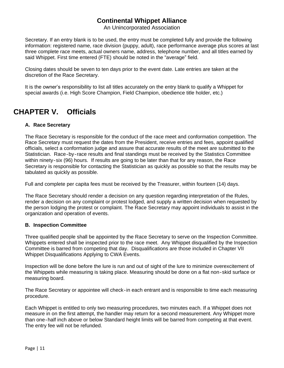An Unincorporated Association

Secretary. If an entry blank is to be used, the entry must be completed fully and provide the following information: registered name, race division (puppy, adult), race performance average plus scores at last three complete race meets, actual owners name, address, telephone number, and all titles earned by said Whippet. First time entered (FTE) should be noted in the "average" field.

Closing dates should be seven to ten days prior to the event date. Late entries are taken at the discretion of the Race Secretary.

It is the owner's responsibility to list all titles accurately on the entry blank to qualify a Whippet for special awards (i.e. High Score Champion, Field Champion, obedience title holder, etc.)

# <span id="page-10-0"></span>**CHAPTER V. Officials**

#### <span id="page-10-1"></span>**A. Race Secretary**

The Race Secretary is responsible for the conduct of the race meet and conformation competition. The Race Secretary must request the dates from the President, receive entries and fees, appoint qualified officials, select a conformation judge and assure that accurate results of the meet are submitted to the Statistician. Race‐by‐race results and final standings must be received by the Statistics Committee within ninety-six (96) hours. If results are going to be later than that for any reason, the Race Secretary is responsible for contacting the Statistician as quickly as possible so that the results may be tabulated as quickly as possible.

Full and complete per capita fees must be received by the Treasurer, within fourteen (14) days.

The Race Secretary should render a decision on any question regarding interpretation of the Rules, render a decision on any complaint or protest lodged, and supply a written decision when requested by the person lodging the protest or complaint. The Race Secretary may appoint individuals to assist in the organization and operation of events.

#### <span id="page-10-2"></span>**B. Inspection Committee**

Three qualified people shall be appointed by the Race Secretary to serve on the Inspection Committee. Whippets entered shall be inspected prior to the race meet. Any Whippet disqualified by the Inspection Committee is barred from competing that day. Disqualifications are those included in Chapter VII Whippet Disqualifications Applying to CWA Events.

Inspection will be done before the lure is run and out of sight of the lure to minimize overexcitement of the Whippets while measuring is taking place. Measuring should be done on a flat non‐skid surface or measuring board.

The Race Secretary or appointee will check-in each entrant and is responsible to time each measuring procedure.

Each Whippet is entitled to only two measuring procedures, two minutes each. If a Whippet does not measure in on the first attempt, the handler may return for a second measurement. Any Whippet more than one‐half inch above or below Standard height limits will be barred from competing at that event. The entry fee will not be refunded.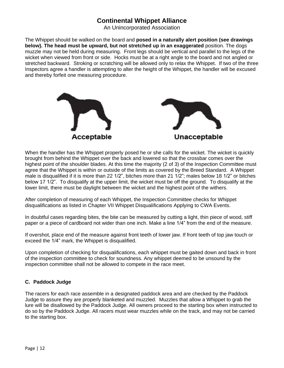An Unincorporated Association

The Whippet should be walked on the board and **posed in a naturally alert position (see drawings below). The head must be upward, but not stretched up in an exaggerated** position. The dogs muzzle may not be held during measuring. Front legs should be vertical and parallel to the legs of the wicket when viewed from front or side. Hocks must be at a right angle to the board and not angled or stretched backward. Stroking or scratching will be allowed only to relax the Whippet. If two of the three Inspectors agree a handler is attempting to alter the height of the Whippet, the handler will be excused and thereby forfeit one measuring procedure.



When the handler has the Whippet properly posed he or she calls for the wicket. The wicket is quickly brought from behind the Whippet over the back and lowered so that the crossbar comes over the highest point of the shoulder blades. At this time the majority (2 of 3) of the Inspection Committee must agree that the Whippet is within or outside of the limits as covered by the Breed Standard. A Whippet male is disqualified if it is more than 22 1/2", bitches more than 21 1/2"; males below 18 1/2" or bitches below 17 1/2". To disqualify at the upper limit, the wicket must be off the ground. To disqualify at the lower limit, there must be daylight between the wicket and the highest point of the withers.

After completion of measuring of each Whippet, the Inspection Committee checks for Whippet disqualifications as listed in Chapter VII Whippet Disqualifications Applying to CWA Events.

In doubtful cases regarding bites, the bite can be measured by cutting a light, thin piece of wood, stiff paper or a piece of cardboard not wider than one inch. Make a line 1/4" from the end of the measure.

If overshot, place end of the measure against front teeth of lower jaw. If front teeth of top jaw touch or exceed the 1/4" mark, the Whippet is disqualified.

Upon completion of checking for disqualifications, each whippet must be gaited down and back in front of the inspection committee to check for soundness. Any whippet deemed to be unsound by the inspection committee shall not be allowed to compete in the race meet.

#### <span id="page-11-0"></span>**C. Paddock Judge**

The racers for each race assemble in a designated paddock area and are checked by the Paddock Judge to assure they are properly blanketed and muzzled. Muzzles that allow a Whippet to grab the lure will be disallowed by the Paddock Judge. All owners proceed to the starting box when instructed to do so by the Paddock Judge. All racers must wear muzzles while on the track, and may not be carried to the starting box.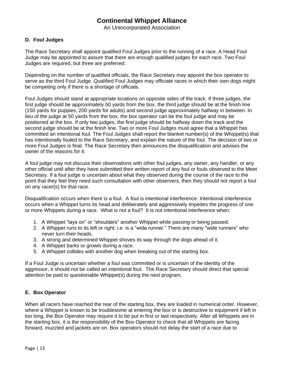An Unincorporated Association

#### <span id="page-12-0"></span>**D. Foul Judges**

The Race Secretary shall appoint qualified Foul Judges prior to the running of a race. A Head Foul Judge may be appointed to assure that there are enough qualified judges for each race. Two Foul Judges are required, but three are preferred.

Depending on the number of qualified officials, the Race Secretary may appoint the box operator to serve as the third Foul Judge. Qualified Foul Judges may officiate races in which their own dogs might be competing only if there is a shortage of officials.

Foul Judges should stand at appropriate locations on opposite sides of the track. If three judges, the first judge should be approximately 50 yards from the box, the third judge should be at the finish line (150 yards for puppies, 200 yards for adults) and second judge approximately halfway in between. In lieu of the judge at 50 yards from the box, the box operator can be the foul judge and may be positioned at the box. If only two judges, the first judge should be halfway down the track and the second judge should be at the finish line. Two or more Foul Judges must agree that a Whippet has committed an intentional foul. The Foul Judges shall report the blanket number(s) of the Whippet(s) that has intentionally fouled to the Race Secretary, and explain the nature of the foul. The decision of two or more Foul Judges is final. The Race Secretary then announces the disqualification and advises the owner of the reasons for it.

A foul judge may not discuss their observations with other foul judges, any owner, any handler, or any other official until after they have submitted their written report of any foul or fouls observed to the Meet Secretary. If a foul judge is uncertain about what they observed during the course of the race to the point that they feel they need such consultation with other observers, then they should not report a foul on any racer(s) for that race.

Disqualification occurs when there is a foul. A foul is intentional interference. Intentional interference occurs when a Whippet turns its head and deliberately and aggressively impedes the progress of one or more Whippets during a race. What is not a foul? It is not intentional interference when:

- 1. A Whippet "lays on" or "shoulders" another Whippet while passing or being passed.
- 2. A Whippet runs to its left or right; i.e. is a "wide runner." There are many "wide runners" who never turn their heads.
- 3. A strong and determined Whippet shoves its way through the dogs ahead of it.
- 4. A Whippet barks or growls during a race.
- 5. A Whippet collides with another dog when breaking out of the starting box.

If a Foul Judge is uncertain whether a foul was committed or is uncertain of the identity of the aggressor, it should not be called an intentional foul. The Race Secretary should direct that special attention be paid to questionable Whippet(s) during the next program.

#### <span id="page-12-1"></span>**E. Box Operator**

When all racers have reached the rear of the starting box, they are loaded in numerical order. However, where a Whippet is known to be troublesome at entering the box or is destructive to equipment if left in too long, the Box Operator may require it to be put in first or last respectively. After all Whippets are in the starting box, it is the responsibility of the Box Operator to check that all Whippets are facing forward, muzzled and jackets are on. Box operators should not delay the start of a race due to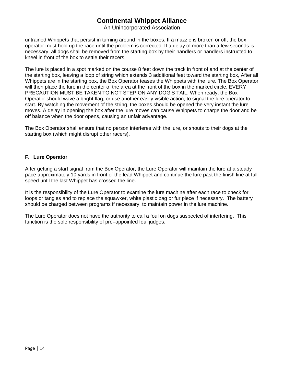An Unincorporated Association

untrained Whippets that persist in turning around in the boxes. If a muzzle is broken or off, the box operator must hold up the race until the problem is corrected. If a delay of more than a few seconds is necessary, all dogs shall be removed from the starting box by their handlers or handlers instructed to kneel in front of the box to settle their racers.

The lure is placed in a spot marked on the course 8 feet down the track in front of and at the center of the starting box, leaving a loop of string which extends 3 additional feet toward the starting box, After all Whippets are in the starting box, the Box Operator teases the Whippets with the lure. The Box Operator will then place the lure in the center of the area at the front of the box in the marked circle. EVERY PRECAUTION MUST BE TAKEN TO NOT STEP ON ANY DOG'S TAIL. When ready, the Box Operator should wave a bright flag, or use another easily visible action, to signal the lure operator to start. By watching the movement of the string, the boxes should be opened the very instant the lure moves. A delay in opening the box after the lure moves can cause Whippets to charge the door and be off balance when the door opens, causing an unfair advantage.

The Box Operator shall ensure that no person interferes with the lure, or shouts to their dogs at the starting box (which might disrupt other racers).

#### <span id="page-13-0"></span>**F. Lure Operator**

After getting a start signal from the Box Operator, the Lure Operator will maintain the lure at a steady pace approximately 10 yards in front of the lead Whippet and continue the lure past the finish line at full speed until the last Whippet has crossed the line.

It is the responsibility of the Lure Operator to examine the lure machine after each race to check for loops or tangles and to replace the squawker, white plastic bag or fur piece if necessary. The battery should be charged between programs if necessary, to maintain power in the lure machine.

The Lure Operator does not have the authority to call a foul on dogs suspected of interfering. This function is the sole responsibility of pre-appointed foul judges.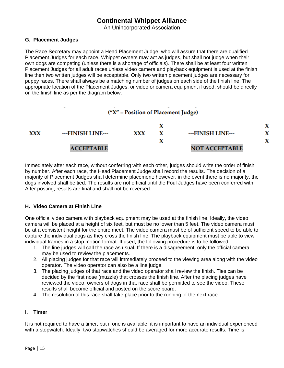An Unincorporated Association

#### <span id="page-14-0"></span>**G. Placement Judges**

The Race Secretary may appoint a Head Placement Judge, who will assure that there are qualified Placement Judges for each race. Whippet owners may act as judges, but shall not judge when their own dogs are competing (unless there is a shortage of officials). There shall be at least four written Placement Judges for all adult races unless video camera and playback equipment is used at the finish line then two written judges will be acceptable. Only two written placement judges are necessary for puppy races. There shall always be a matching number of judges on each side of the finish line. The appropriate location of the Placement Judges, or video or camera equipment if used, should be directly on the finish line as per the diagram below.

### ("X" = Position of Placement Judge)



Immediately after each race, without conferring with each other, judges should write the order of finish by number. After each race, the Head Placement Judge shall record the results. The decision of a majority of Placement Judges shall determine placement; however, in the event there is no majority, the dogs involved shall be tied. The results are not official until the Foul Judges have been conferred with. After posting, results are final and shall not be reversed.

#### <span id="page-14-1"></span>**H. Video Camera at Finish Line**

One official video camera with playback equipment may be used at the finish line. Ideally, the video camera will be placed at a height of six feet, but must be no lower than 5 feet. The video camera must be at a consistent height for the entire meet. The video camera must be of sufficient speed to be able to capture the individual dogs as they cross the finish line. The playback equipment must be able to view individual frames in a stop motion format. If used, the following procedure is to be followed:

- 1. The line judges will call the race as usual. If there is a disagreement, only the official camera may be used to review the placements.
- 2. All placing judges for that race will immediately proceed to the viewing area along with the video operator. The video operator can also be a line judge.
- 3. The placing judges of that race and the video operator shall review the finish. Ties can be decided by the first nose (muzzle) that crosses the finish line. After the placing judges have reviewed the video, owners of dogs in that race shall be permitted to see the video. These results shall become official and posted on the score board.
- 4. The resolution of this race shall take place prior to the running of the next race.

#### <span id="page-14-2"></span>**I. Timer**

It is not required to have a timer, but if one is available, it is important to have an individual experienced with a stopwatch. Ideally, two stopwatches should be averaged for more accurate results. Time is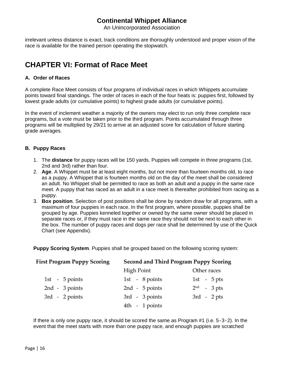An Unincorporated Association

irrelevant unless distance is exact, track conditions are thoroughly understood and proper vision of the race is available for the trained person operating the stopwatch.

# <span id="page-15-0"></span>**CHAPTER VI: Format of Race Meet**

#### <span id="page-15-1"></span>**A. Order of Races**

A complete Race Meet consists of four programs of individual races in which Whippets accumulate points toward final standings. The order of races in each of the four heats is: puppies first, followed by lowest grade adults (or cumulative points) to highest grade adults (or cumulative points).

In the event of inclement weather a majority of the owners may elect to run only three complete race programs, but a vote must be taken prior to the third program. Points accumulated through three programs will be multiplied by 29/21 to arrive at an adjusted score for calculation of future starting grade averages.

#### <span id="page-15-2"></span>**B. Puppy Races**

- 1. The **distance** for puppy races will be 150 yards. Puppies will compete in three programs (1st, 2nd and 3rd) rather than four.
- 2. **Age**. A Whippet must be at least eight months, but not more than fourteen months old, to race as a puppy. A Whippet that is fourteen months old on the day of the meet shall be considered an adult. No Whippet shall be permitted to race as both an adult and a puppy in the same race meet. A puppy that has raced as an adult in a race meet is thereafter prohibited from racing as a puppy.
- 3. **Box position**. Selection of post positions shall be done by random draw for all programs, with a maximum of four puppies in each race. In the first program, where possible, puppies shall be grouped by age. Puppies kenneled together or owned by the same owner should be placed in separate races or, if they must race in the same race they should not be next to each other in the box. The number of puppy races and dogs per race shall be determined by use of the Quick Chart (see Appendix).

**Puppy Scoring System**. Puppies shall be grouped based on the following scoring system:

| <b>First Program Puppy Scoring</b> | <b>Second and Third Program Puppy Scoring</b> |               |
|------------------------------------|-----------------------------------------------|---------------|
|                                    | <b>High Point</b>                             | Other races   |
| 1st - $5$ points                   | 1st - $8$ points                              | 1st - $5$ pts |
| $2nd - 3 points$                   | $2nd - 5 points$                              | $2nd$ - 3 pts |
| $3rd - 2 points$                   | $3rd - 3 points$                              | $3rd - 2pts$  |
|                                    | 4th - 1 points                                |               |

If there is only one puppy race, it should be scored the same as Program #1 (i.e. 5‐3‐2). In the event that the meet starts with more than one puppy race, and enough puppies are scratched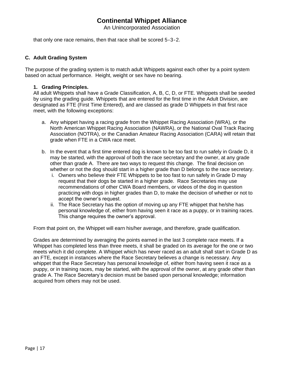An Unincorporated Association

that only one race remains, then that race shall be scored 5‐3‐2.

#### <span id="page-16-0"></span>**C. Adult Grading System**

The purpose of the grading system is to match adult Whippets against each other by a point system based on actual performance. Height, weight or sex have no bearing.

#### <span id="page-16-1"></span>**1. Grading Principles.**

All adult Whippets shall have a Grade Classification, A, B, C, D, or FTE. Whippets shall be seeded by using the grading guide. Whippets that are entered for the first time in the Adult Division, are designated as FTE (First Time Entered), and are classed as grade D Whippets in that first race meet, with the following exceptions:

- a. Any whippet having a racing grade from the Whippet Racing Association (WRA), or the North American Whippet Racing Association (NAWRA), or the National Oval Track Racing Association (NOTRA), or the Canadian Amateur Racing Association (CARA) will retain that grade when FTE in a CWA race meet.
- b. In the event that a first time entered dog is known to be too fast to run safely in Grade D, it may be started, with the approval of both the race secretary and the owner, at any grade other than grade A. There are two ways to request this change. The final decision on whether or not the dog should start in a higher grade than D belongs to the race secretary.
	- i. Owners who believe their FTE Whippets to be too fast to run safely in Grade D may request that their dogs be started in a higher grade. Race Secretaries may use recommendations of other CWA Board members, or videos of the dog in question practicing with dogs in higher grades than D, to make the decision of whether or not to accept the owner's request.
	- ii. The Race Secretary has the option of moving up any FTE whippet that he/she has personal knowledge of, either from having seen it race as a puppy, or in training races. This change requires the owner's approval.

From that point on, the Whippet will earn his/her average, and therefore, grade qualification.

Grades are determined by averaging the points earned in the last 3 complete race meets. If a Whippet has completed less than three meets, it shall be graded on its average for the one or two meets which it did complete. A Whippet which has never raced as an adult shall start in Grade D as an FTE, except in instances where the Race Secretary believes a change is necessary. Any whippet that the Race Secretary has personal knowledge of, either from having seen it race as a puppy, or in training races, may be started, with the approval of the owner, at any grade other than grade A. The Race Secretary's decision must be based upon personal knowledge; information acquired from others may not be used.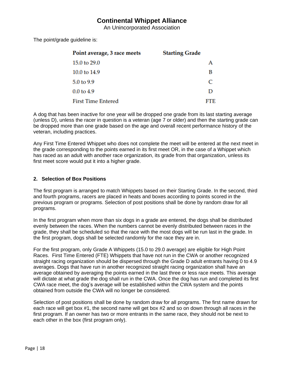An Unincorporated Association

The point/grade guideline is:

| Point average, 3 race meets | <b>Starting Grade</b> |
|-----------------------------|-----------------------|
| 15.0 to 29.0                | А                     |
| 10.0 to 14.9                | B                     |
| 5.0 to 9.9                  | C                     |
| $0.0$ to $4.9$              | D                     |
| <b>First Time Entered</b>   | FTE.                  |

A dog that has been inactive for one year will be dropped one grade from its last starting average (unless D), unless the racer in question is a veteran (age 7 or older) and then the starting grade can be dropped more than one grade based on the age and overall recent performance history of the veteran, including practices.

Any First Time Entered Whippet who does not complete the meet will be entered at the next meet in the grade corresponding to the points earned in its first meet OR, in the case of a Whippet which has raced as an adult with another race organization, its grade from that organization, unless its first meet score would put it into a higher grade.

#### <span id="page-17-0"></span>**2. Selection of Box Positions**

The first program is arranged to match Whippets based on their Starting Grade. In the second, third and fourth programs, racers are placed in heats and boxes according to points scored in the previous program or programs. Selection of post positions shall be done by random draw for all programs.

In the first program when more than six dogs in a grade are entered, the dogs shall be distributed evenly between the races. When the numbers cannot be evenly distributed between races in the grade, they shall be scheduled so that the race with the most dogs will be run last in the grade. In the first program, dogs shall be selected randomly for the race they are in.

For the first program, only Grade A Whippets (15.0 to 29.0 average) are eligible for High Point Races. First Time Entered (FTE) Whippets that have not run in the CWA or another recognized straight racing organization should be dispersed through the Grade D adult entrants having 0 to 4.9 averages. Dogs that have run in another recognized straight racing organization shall have an average obtained by averaging the points earned in the last three or less race meets. This average will dictate at what grade the dog shall run in the CWA. Once the dog has run and completed its first CWA race meet, the dog's average will be established within the CWA system and the points obtained from outside the CWA will no longer be considered.

Selection of post positions shall be done by random draw for all programs. The first name drawn for each race will get box #1, the second name will get box #2 and so on down through all races in the first program. If an owner has two or more entrants in the same race, they should not be next to each other in the box (first program only).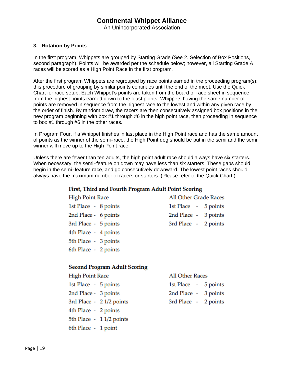An Unincorporated Association

#### <span id="page-18-0"></span>**3. Rotation by Points**

In the first program, Whippets are grouped by Starting Grade (See 2. Selection of Box Positions, second paragraph). Points will be awarded per the schedule below; however, all Starting Grade A races will be scored as a High Point Race in the first program.

After the first program Whippets are regrouped by race points earned in the proceeding program(s); this procedure of grouping by similar points continues until the end of the meet. Use the Quick Chart for race setup. Each Whippet's points are taken from the board or race sheet in sequence from the highest points earned down to the least points. Whippets having the same number of points are removed in sequence from the highest race to the lowest and within any given race by the order of finish. By random draw, the racers are then consecutively assigned box positions in the new program beginning with box #1 through #6 in the high point race, then proceeding in sequence to box #1 through #6 in the other races.

In Program Four, if a Whippet finishes in last place in the High Point race and has the same amount of points as the winner of the semi‐race, the High Point dog should be put in the semi and the semi winner will move up to the High Point race.

Unless there are fewer than ten adults, the high point adult race should always have six starters. When necessary, the semi-feature on down may have less than six starters. These gaps should begin in the semi‐feature race, and go consecutively downward. The lowest point races should always have the maximum number of racers or starters. (Please refer to the Quick Chart.)

#### First, Third and Fourth Program Adult Point Scoring

| <b>High Point Race</b> | <b>All Other Grade Races</b> |
|------------------------|------------------------------|
| 1st Place - 8 points   | 1st Place - 5 points         |
| 2nd Place - 6 points   | 2nd Place - 3 points         |
| 3rd Place - 5 points   | 3rd Place - 2 points         |
| 4th Place - 4 points   |                              |
| 5th Place - 3 points   |                              |

#### **Second Program Adult Scoring**

**High Point Race** 

6th Place - 2 points

| 1st Place - 5 points |                          |
|----------------------|--------------------------|
| 2nd Place - 3 points |                          |
|                      | 3rd Place - 2 1/2 points |
| 4th Place - 2 points |                          |
|                      | 5th Place - 1 1/2 points |
| 6th Place - 1 point  |                          |

**All Other Races** 1st Place - 5 points

2nd Place -3 points 3rd Place -2 points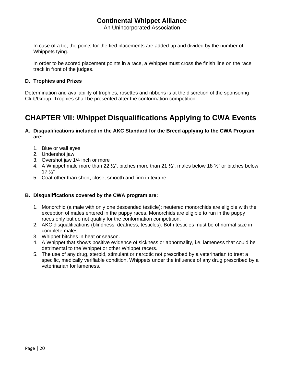An Unincorporated Association

In case of a tie, the points for the tied placements are added up and divided by the number of Whippets tying.

In order to be scored placement points in a race, a Whippet must cross the finish line on the race track in front of the judges.

#### <span id="page-19-0"></span>**D. Trophies and Prizes**

Determination and availability of trophies, rosettes and ribbons is at the discretion of the sponsoring Club/Group. Trophies shall be presented after the conformation competition.

# <span id="page-19-1"></span>**CHAPTER VII: Whippet Disqualifications Applying to CWA Events**

#### <span id="page-19-2"></span>**A. Disqualifications included in the AKC Standard for the Breed applying to the CWA Program are:**

- 1. Blue or wall eyes
- 2. Undershot jaw
- 3. Overshot jaw 1/4 inch or more
- 4. A Whippet male more than 22  $\frac{1}{2}$ , bitches more than 21  $\frac{1}{2}$ , males below 18  $\frac{1}{2}$  or bitches below 17 ½"
- 5. Coat other than short, close, smooth and firm in texture

#### <span id="page-19-3"></span>**B. Disqualifications covered by the CWA program are:**

- 1. Monorchid (a male with only one descended testicle); neutered monorchids are eligible with the exception of males entered in the puppy races. Monorchids are eligible to run in the puppy races only but do not qualify for the conformation competition.
- 2. AKC disqualifications (blindness, deafness, testicles). Both testicles must be of normal size in complete males.
- 3. Whippet bitches in heat or season.
- 4. A Whippet that shows positive evidence of sickness or abnormality, i.e. lameness that could be detrimental to the Whippet or other Whippet racers.
- 5. The use of any drug, steroid, stimulant or narcotic not prescribed by a veterinarian to treat a specific, medically verifiable condition. Whippets under the influence of any drug prescribed by a veterinarian for lameness.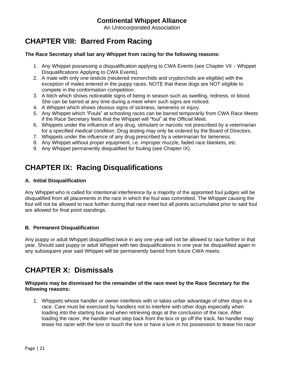An Unincorporated Association

# <span id="page-20-0"></span>**CHAPTER VIII: Barred From Racing**

#### <span id="page-20-1"></span>**The Race Secretary shall bar any Whippet from racing for the following reasons:**

- 1. Any Whippet possessing a disqualification applying to CWA Events (see Chapter VII ‐ Whippet Disqualifications Applying to CWA Events).
- 2. A male with only one testicle (neutered monorchids and cryptorchids are eligible) with the exception of males entered in the puppy races. NOTE that these dogs are NOT eligible to compete in the conformation competition.
- 3. A bitch which shows noticeable signs of being in season such as swelling, redness, or blood. She can be barred at any time during a meet when such signs are noticed.
- 4. A Whippet which shows obvious signs of sickness, lameness or injury.
- 5. Any Whippet which "Fouls" at schooling races can be barred temporarily from CWA Race Meets if the Race Secretary feels that the Whippet will "foul" at the Official Meet.
- 6. Whippets under the influence of any drug, stimulant or narcotic not prescribed by a veterinarian for a specified medical condition. Drug testing may only be ordered by the Board of Directors.
- 7. Whippets under the influence of any drug prescribed by a veterinarian for lameness.
- 8. Any Whippet without proper equipment, i.e. improper muzzle, faded race blankets, etc.
- 9. Any Whippet permanently disqualified for fouling (see Chapter IX).

# <span id="page-20-2"></span>**CHAPTER IX: Racing Disqualifications**

#### <span id="page-20-3"></span>**A. Initial Disqualification**

Any Whippet who is called for intentional interference by a majority of the appointed foul judges will be disqualified from all placements in the race in which the foul was committed. The Whippet causing the foul will not be allowed to race further during that race meet but all points accumulated prior to said foul are allowed for final point standings.

#### <span id="page-20-4"></span>**B. Permanent Disqualification**

Any puppy or adult Whippet disqualified twice in any one year will not be allowed to race further in that year. Should said puppy or adult Whippet with two disqualifications in one year be disqualified again in any subsequent year said Whippet will be permanently barred from future CWA meets.

## <span id="page-20-5"></span>**CHAPTER X: Dismissals**

#### **Whippets may be dismissed for the remainder of the race meet by the Race Secretary for the following reasons:**

1. Whippets whose handler or owner interferes with or takes unfair advantage of other dogs in a race. Care must be exercised by handlers not to interfere with other dogs especially when loading into the starting box and when retrieving dogs at the conclusion of the race. After loading the racer, the handler must step back from the box or go off the track. No handler may tease his racer with the lure or touch the lure or have a lure in his possession to tease his racer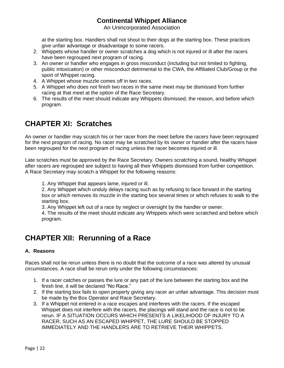An Unincorporated Association

at the starting box. Handlers shall not shout to their dogs at the starting box. These practices give unfair advantage or disadvantage to some racers.

- 2. Whippets whose handler or owner scratches a dog which is not injured or ill after the racers have been regrouped next program of racing.
- 3. An owner or handler who engages in gross misconduct (including but not limited to fighting, public intoxication) or other misconduct detrimental to the CWA, the Affiliated Club/Group or the sport of Whippet racing.
- 4. A Whippet whose muzzle comes off in two races.
- 5. A Whippet who does not finish two races in the same meet may be dismissed from further racing at that meet at the option of the Race Secretary.
- 6. The results of the meet should indicate any Whippets dismissed, the reason, and before which program.

# <span id="page-21-0"></span>**CHAPTER XI: Scratches**

An owner or handler may scratch his or her racer from the meet before the racers have been regrouped for the next program of racing. No racer may be scratched by its owner or handier after the racers have been regrouped for the next program of racing unless the racer becomes injured or ill.

Late scratches must be approved by the Race Secretary. Owners scratching a sound, healthy Whippet after racers are regrouped are subject to having all their Whippets dismissed from further competition. A Race Secretary may scratch a Whippet for the following reasons:

1. Any Whippet that appears lame, injured or ill.

2. Any Whippet which unduly delays racing such as by refusing to face forward in the starting box or which removes its muzzle in the starting box several times or which refuses to walk to the starting box.

3. Any Whippet left out of a race by neglect or oversight by the handler or owner.

4. The results of the meet should indicate any Whippets which were scratched and before which program.

# <span id="page-21-1"></span>**CHAPTER XII: Rerunning of a Race**

#### <span id="page-21-2"></span>**A. Reasons**

Races shall not be rerun unless there is no doubt that the outcome of a race was altered by unusual circumstances. A race shall be rerun only under the following circumstances:

- 1. If a racer catches or passes the lure or any part of the lure between the starting box and the finish line, it will be declared "No Race."
- 2. If the starting box fails to open properly giving any racer an unfair advantage. This decision must be made by the Box Operator and Race Secretary.
- 3. If a Whippet not entered in a race escapes and interferes with the racers. If the escaped Whippet does not interfere with the racers, the placings will stand and the race is not to be rerun. IF A SITUATION OCCURS WHICH PRESENTS A LIKELIHOOD OF INJURY TO A RACER, SUCH AS AN ESCAPED WHIPPET, THE LURE SHOULD BE STOPPED IMMEDIATELY AND THE HANDLERS ARE TO RETRIEVE THEIR WHIPPETS.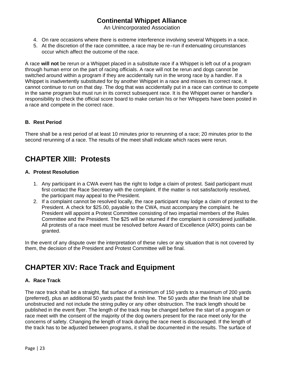An Unincorporated Association

- 4. On rare occasions where there is extreme interference involving several Whippets in a race.
- 5. At the discretion of the race committee, a race may be re-run if extenuating circumstances occur which affect the outcome of the race.

A race **will not** be rerun or a Whippet placed in a substitute race if a Whippet is left out of a program through human error on the part of racing officials. A race will not be rerun and dogs cannot be switched around within a program if they are accidentally run in the wrong race by a handler. If a Whippet is inadvertently substituted for by another Whippet in a race and misses its correct race, it cannot continue to run on that day. The dog that was accidentally put in a race can continue to compete in the same program but must run in its correct subsequent race. It is the Whippet owner or handler's responsibility to check the official score board to make certain his or her Whippets have been posted in a race and compete in the correct race.

#### <span id="page-22-0"></span>**B. Rest Period**

There shall be a rest period of at least 10 minutes prior to rerunning of a race; 20 minutes prior to the second rerunning of a race. The results of the meet shall indicate which races were rerun.

# <span id="page-22-1"></span>**CHAPTER XIII: Protests**

#### <span id="page-22-2"></span>**A. Protest Resolution**

- 1. Any participant in a CWA event has the right to lodge a claim of protest. Said participant must first contact the Race Secretary with the complaint. If the matter is not satisfactorily resolved, the participant may appeal to the President.
- 2. If a complaint cannot be resolved locally, the race participant may lodge a claim of protest to the President. A check for \$25.00, payable to the CWA, must accompany the complaint. he President will appoint a Protest Committee consisting of two impartial members of the Rules Committee and the President. The \$25 will be returned if the complaint is considered justifiable. All protests of a race meet must be resolved before Award of Excellence (ARX) points can be granted.

In the event of any dispute over the interpretation of these rules or any situation that is not covered by them, the decision of the President and Protest Committee will be final.

## <span id="page-22-3"></span>**CHAPTER XIV: Race Track and Equipment**

#### <span id="page-22-4"></span>**A. Race Track**

The race track shall be a straight, flat surface of a minimum of 150 yards to a maximum of 200 yards (preferred), plus an additional 50 yards past the finish line. The 50 yards after the finish line shall be unobstructed and not include the string pulley or any other obstruction. The track length should be published in the event flyer. The length of the track may be changed before the start of a program or race meet with the consent of the majority of the dog owners present for the race meet only for the concerns of safety. Changing the length of track during the race meet is discouraged. If the length of the track has to be adjusted between programs, it shall be documented in the results. The surface of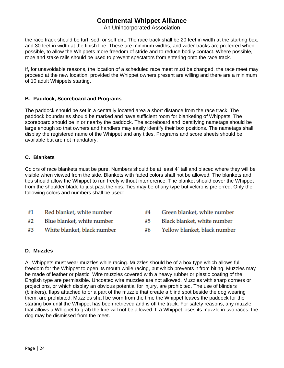An Unincorporated Association

the race track should be turf, sod, or soft dirt. The race track shall be 20 feet in width at the starting box, and 30 feet in width at the finish line. These are minimum widths, and wider tracks are preferred when possible, to allow the Whippets more freedom of stride and to reduce bodily contact. Where possible, rope and stake rails should be used to prevent spectators from entering onto the race track.

If, for unavoidable reasons, the location of a scheduled race meet must be changed, the race meet may proceed at the new location, provided the Whippet owners present are willing and there are a minimum of 10 adult Whippets starting.

#### <span id="page-23-0"></span>**B. Paddock, Scoreboard and Programs**

The paddock should be set in a centrally located area a short distance from the race track. The paddock boundaries should be marked and have sufficient room for blanketing of Whippets. The scoreboard should be in or nearby the paddock. The scoreboard and identifying nametags should be large enough so that owners and handlers may easily identify their box positions. The nametags shall display the registered name of the Whippet and any titles. Programs and score sheets should be available but are not mandatory.

#### <span id="page-23-1"></span>**C. Blankets**

Colors of race blankets must be pure. Numbers should be at least 4" tall and placed where they will be visible when viewed from the side. Blankets with faded colors shall not be allowed. The blankets and ties should allow the Whippet to run freely without interference. The blanket should cover the Whippet from the shoulder blade to just past the ribs. Ties may be of any type but velcro is preferred. Only the following colors and numbers shall be used:

| #1 | Red blanket, white number   | #4 | Green blanket, white number  |
|----|-----------------------------|----|------------------------------|
| #2 | Blue blanket, white number  | #5 | Black blanket, white number  |
| #3 | White blanket, black number | #6 | Yellow blanket, black number |

#### <span id="page-23-2"></span>**D. Muzzles**

All Whippets must wear muzzles while racing. Muzzles should be of a box type which allows full freedom for the Whippet to open its mouth while racing, but which prevents it from biting. Muzzles may be made of leather or plastic. Wire muzzles covered with a heavy rubber or plastic coating of the English type are permissible. Uncoated wire muzzles are not allowed. Muzzles with sharp corners or projections, or which display an obvious potential for injury, are prohibited. The use of blinders (blinkers), flaps attached to or a part of the muzzle that create a blind spot beside the dog wearing them, are prohibited. Muzzles shall be worn from the time the Whippet leaves the paddock for the starting box until the Whippet has been retrieved and is off the track. For safety reasons, any muzzle that allows a Whippet to grab the lure will not be allowed. If a Whippet loses its muzzle in two races, the dog may be dismissed from the meet.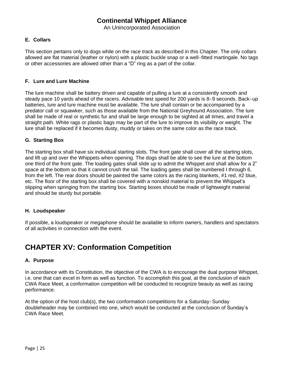An Unincorporated Association

#### <span id="page-24-0"></span>**E. Collars**

This section pertains only to dogs while on the race track as described in this Chapter. The only collars allowed are flat material (leather or nylon) with a plastic buckle snap or a well‐fitted martingale. No tags or other accessories are allowed other than a "D" ring as a part of the collar.

#### <span id="page-24-1"></span>**F. Lure and Lure Machine**

The lure machine shall be battery driven and capable of pulling a lure at a consistently smooth and steady pace 10 yards ahead of the racers. Advisable test speed for 200 yards is 8‐9 seconds. Back‐up batteries, lure and lure machine must be available. The lure shall contain or be accompanied by a predator call or squawker, such as those available from the National Greyhound Association. The lure shall be made of real or synthetic fur and shall be large enough to be sighted at all times, and travel a straight path. White rags or plastic bags may be part of the lure to improve its visibility or weight. The lure shall be replaced if it becomes dusty, muddy or takes on the same color as the race track.

#### <span id="page-24-2"></span>**G. Starting Box**

The starting box shall have six individual starting slots. The front gate shall cover all the starting slots, and lift up and over the Whippets when opening. The dogs shall be able to see the lure at the bottom one third of the front gate. The loading gates shall slide up to admit the Whippet and shall allow for a 2" space at the bottom so that it cannot crush the tail. The loading gates shall be numbered I through 6, from the left. The rear doors should be painted the same colors as the racing blankets, #1 red, #2 blue, etc. The floor of the starting box shall be covered with a nonskid material to prevent the Whippet's slipping when springing from the starting box. Starting boxes should be made of lightweight material and should be sturdy but portable.

#### <span id="page-24-3"></span>**H. Loudspeaker**

If possible, a loudspeaker or megaphone should be available to inform owners, handlers and spectators of all activities in connection with the event.

## <span id="page-24-4"></span>**CHAPTER XV: Conformation Competition**

#### <span id="page-24-5"></span>**A. Purpose**

In accordance with its Constitution, the objective of the CWA is to encourage the dual purpose Whippet, i.e. one that can excel in form as well as function. To accomplish this goal, at the conclusion of each CWA Race Meet, a conformation competition will be conducted to recognize beauty as well as racing performance.

At the option of the host club(s), the two conformation competitions for a Saturday‐Sunday doubleheader may be combined into one, which would be conducted at the conclusion of Sunday's CWA Race Meet.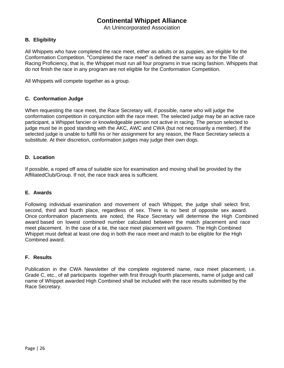An Unincorporated Association

#### <span id="page-25-0"></span>**B. Eligibility**

All Whippets who have completed the race meet, either as adults or as puppies, are eligible for the Conformation Competition. "Completed the race meet" is defined the same way as for the Title of Racing Proficiency, that is, the Whippet must run all four programs in true racing fashion. Whippets that do not finish the race in any program are not eligible for the Conformation Competition.

All Whippets will compete together as a group.

#### <span id="page-25-1"></span>**C. Conformation Judge**

When requesting the race meet, the Race Secretary will, if possible, name who will judge the conformation competition in conjunction with the race meet. The selected judge may be an active race participant, a Whippet fancier or knowledgeable person not active in racing. The person selected to judge must be in good standing with the AKC, AWC and CWA (but not necessarily a member). If the selected judge is unable to fulfill his or her assignment for any reason, the Race Secretary selects a substitute. At their discretion, conformation judges may judge their own dogs.

#### <span id="page-25-2"></span>**D. Location**

If possible, a roped off area of suitable size for examination and moving shall be provided by the AffiliatedClub/Group. If not, the race track area is sufficient.

#### <span id="page-25-3"></span>**E. Awards**

Following individual examination and movement of each Whippet, the judge shall select first, second, third and fourth place, regardless of sex. There is no best of opposite sex award. Once conformation placements are noted, the Race Secretary will determine the High Combined award based on lowest combined number calculated between the match placement and race meet placement. In the case of a tie, the race meet placement will govern. The High Combined Whippet must defeat at least one dog in both the race meet and match to be eligible for the High Combined award.

#### <span id="page-25-4"></span>**F. Results**

Publication in the CWA Newsletter of the complete registered name, race meet placement, i.e. Grade C, etc., of all participants together with first through fourth placements, name of judge and call name of Whippet awarded High Combined shall be included with the race results submitted by the Race Secretary.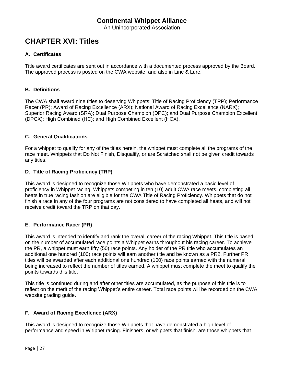An Unincorporated Association

# <span id="page-26-0"></span>**CHAPTER XVI: Titles**

#### <span id="page-26-1"></span>**A. Certificates**

Title award certificates are sent out in accordance with a documented process approved by the Board. The approved process is posted on the CWA website, and also in Line & Lure.

#### <span id="page-26-2"></span>**B. Definitions**

The CWA shall award nine titles to deserving Whippets: Title of Racing Proficiency (TRP); Performance Racer (PR); Award of Racing Excellence (ARX); National Award of Racing Excellence (NARX); Superior Racing Award (SRA); Dual Purpose Champion (DPC); and Dual Purpose Champion Excellent (DPCX); High Combined (HC); and High Combined Excellent (HCX).

#### <span id="page-26-3"></span>**C. General Qualifications**

For a whippet to qualify for any of the titles herein, the whippet must complete all the programs of the race meet. Whippets that Do Not Finish, Disqualify, or are Scratched shall not be given credit towards any titles.

#### <span id="page-26-4"></span>**D. Title of Racing Proficiency (TRP)**

This award is designed to recognize those Whippets who have demonstrated a basic level of proficiency in Whippet racing. Whippets competing in ten (10) adult CWA race meets, completing all heats in true racing fashion are eligible for the CWA Title of Racing Proficiency. Whippets that do not finish a race in any of the four programs are not considered to have completed all heats, and will not receive credit toward the TRP on that day.

#### <span id="page-26-5"></span>**E. Performance Racer (PR)**

This award is intended to identify and rank the overall career of the racing Whippet. This title is based on the number of accumulated race points a Whippet earns throughout his racing career. To achieve the PR, a whippet must earn fifty (50) race points. Any holder of the PR title who accumulates an additional one hundred (100) race points will earn another title and be known as a PR2. Further PR titles will be awarded after each additional one hundred (100) race points earned with the numeral being increased to reflect the number of titles earned. A whippet must complete the meet to qualify the points towards this title.

This title is continued during and after other titles are accumulated, as the purpose of this title is to reflect on the merit of the racing Whippet's entire career. Total race points will be recorded on the CWA website grading guide.

#### <span id="page-26-6"></span>**F. Award of Racing Excellence (ARX)**

This award is designed to recognize those Whippets that have demonstrated a high level of performance and speed in Whippet racing. Finishers, or whippets that finish, are those whippets that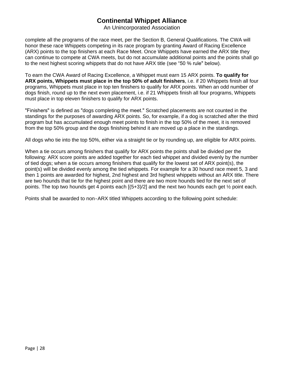An Unincorporated Association

complete all the programs of the race meet, per the Section B, General Qualifications. The CWA will honor these race Whippets competing in its race program by granting Award of Racing Excellence (ARX) points to the top finishers at each Race Meet. Once Whippets have earned the ARX title they can continue to compete at CWA meets, but do not accumulate additional points and the points shall go to the next highest scoring whippets that do not have ARX title (see "50 % rule" below).

To earn the CWA Award of Racing Excellence, a Whippet must earn 15 ARX points. **To qualify for ARX points, Whippets must place in the top 50% of adult finishers**, i.e. if 20 Whippets finish all four programs, Whippets must place in top ten finishers to qualify for ARX points. When an odd number of dogs finish, round up to the next even placement, i.e. if 21 Whippets finish all four programs, Whippets must place in top eleven finishers to qualify for ARX points.

"Finishers" is defined as "dogs completing the meet." Scratched placements are not counted in the standings for the purposes of awarding ARX points. So, for example, if a dog is scratched after the third program but has accumulated enough meet points to finish in the top 50% of the meet, it is removed from the top 50% group and the dogs finishing behind it are moved up a place in the standings.

All dogs who tie into the top 50%, either via a straight tie or by rounding up, are eligible for ARX points.

When a tie occurs among finishers that qualify for ARX points the points shall be divided per the following: ARX score points are added together for each tied whippet and divided evenly by the number of tied dogs; when a tie occurs among finishers that qualify for the lowest set of ARX point(s), the point(s) will be divided evenly among the tied whippets. For example for a 30 hound race meet 5, 3 and then 1 points are awarded for highest, 2nd highest and 3rd highest whippets without an ARX title. There are two hounds that tie for the highest point and there are two more hounds tied for the next set of points. The top two hounds get 4 points each  $(5+3)/2$  and the next two hounds each get  $\frac{1}{2}$  point each.

Points shall be awarded to non‐ARX titled Whippets according to the following point schedule: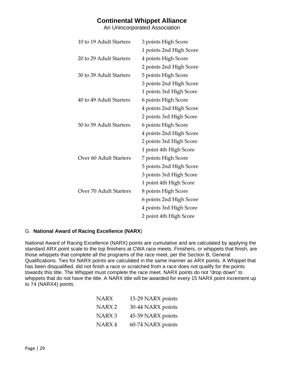An Unincorporated Association

| 10 to 19 Adult Starters       | 3 points High Score     |
|-------------------------------|-------------------------|
|                               | 1 points 2nd High Score |
| 20 to 29 Adult Starters       | 4 points High Score     |
|                               | 2 points 2nd High Score |
| 30 to 39 Adult Starters       | 5 points High Score     |
|                               | 3 points 2nd High Score |
|                               | 1 points 3rd High Score |
| 40 to 49 Adult Starters       | 6 points High Score     |
|                               | 4 points 2nd High Score |
|                               | 2 points 3rd High Score |
| 50 to 59 Adult Starters       | 6 points High Score     |
|                               | 4 points 2nd High Score |
|                               | 2 points 3rd High Score |
|                               | 1 point 4th High Score  |
| <b>Over 60 Adult Starters</b> | 7 points High Score     |
|                               | 5 points 2nd High Score |
|                               | 3 points 3rd High Score |
|                               | 1 point 4th High Score  |
| <b>Over 70 Adult Starters</b> | 8 points High Score     |
|                               | 6 points 2nd High Score |
|                               | 4 points 3rd High Score |
|                               | 2 point 4th High Score  |

#### <span id="page-28-0"></span>G. **National Award of Racing Excellence (NARX**)

National Award of Racing Excellence (NARX) points are cumulative and are calculated by applying the standard ARX point scale to the top finishers at CWA race meets. Finishers, or whippets that finish, are those whippets that complete all the programs of the race meet, per the Section B, General Qualifications. Ties for NARX points are calculated in the same manner as ARX points. A Whippet that has been disqualified, did not finish a race or scratched from a race does not qualify for the points towards this title. The Whippet must complete the race meet. NARX points do not "drop down" to whippets that do not have the title. A NARX title will be awarded for every 15 NARX point increment up to 74 (NARX4) points:

| <b>NARX</b>       | 15-29 NARX points |
|-------------------|-------------------|
| NARX <sub>2</sub> | 30-44 NARX points |
| NARX <sub>3</sub> | 45-59 NARX points |
| NARX <sub>4</sub> | 60-74 NARX points |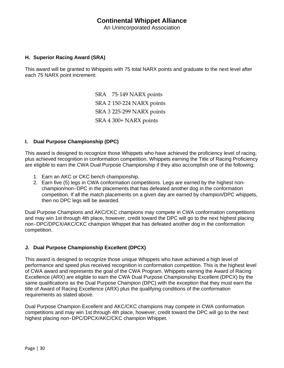An Unincorporated Association

#### <span id="page-29-0"></span>**H. Superior Racing Award (SRA)**

This award will be granted to Whippets with 75 total NARX points and graduate to the next level after each 75 NARX point increment:

> SRA 75-149 NARX points SRA 2 150-224 NARX points SRA 3 225-299 NARX points SRA 4 300+ NARX points

#### <span id="page-29-1"></span>**I. Dual Purpose Championship (DPC)**

This award is designed to recognize those Whippets who have achieved the proficiency level of racing, plus achieved recognition in conformation competition. Whippets earning the Title of Racing Proficiency are eligible to earn the CWA Dual Purpose Championship if they also accomplish one of the following:

- 1. Earn an AKC or CKC bench championship.
- 2. Earn five (5) legs in CWA conformation competitions. Legs are earned by the highest nonchampion/non‐DPC in the placements that has defeated another dog in the conformation competition. If all the match placements on a given day are earned by champion/DPC whippets, then no DPC legs will be awarded.

Dual Purpose Champions and AKC/CKC champions may compete in CWA conformation competitions and may win 1st through 4th place, however, credit toward the DPC will go to the next highest placing non‐DPC/DPCX/AKC/CKC champion Whippet that has defeated another dog in the conformation competition.

#### <span id="page-29-2"></span>**J. Dual Purpose Championship Excellent (DPCX)**

This award is designed to recognize those unique Whippets who have achieved a high level of performance and speed plus received recognition in conformation competition. This is the highest level of CWA award and represents the goal of the CWA Program. Whippets earning the Award of Racing Excellence (ARX) are eligible to earn the CWA Dual Purpose Championship Excellent (DPCX) by the same qualifications as the Dual Purpose Champion (DPC) with the exception that they must earn the title of Award of Racing Excellence (ARX) plus the qualifying conditions of the conformation requirements as stated above.

Dual Purpose Champion Excellent and AKC/CKC champions may compete in CWA conformation competitions and may win 1st through 4th place, however, credit toward the DPC will go to the next highest placing non‐DPC/DPCX/AKC/CKC champion Whippet.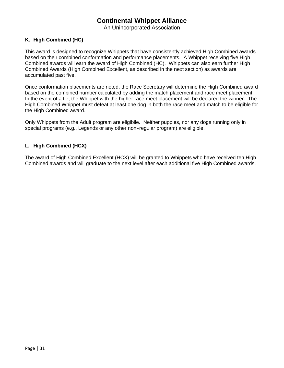An Unincorporated Association

#### <span id="page-30-0"></span>**K. High Combined (HC)**

This award is designed to recognize Whippets that have consistently achieved High Combined awards based on their combined conformation and performance placements. A Whippet receiving five High Combined awards will earn the award of High Combined (HC). Whippets can also earn further High Combined Awards (High Combined Excellent, as described in the next section) as awards are accumulated past five.

Once conformation placements are noted, the Race Secretary will determine the High Combined award based on the combined number calculated by adding the match placement and race meet placement. In the event of a tie, the Whippet with the higher race meet placement will be declared the winner. The High Combined Whippet must defeat at least one dog in both the race meet and match to be eligible for the High Combined award.

Only Whippets from the Adult program are eligibile. Neither puppies, nor any dogs running only in special programs (e.g., Legends or any other non-regular program) are eligible.

#### <span id="page-30-1"></span>**L. High Combined (HCX)**

The award of High Combined Excellent (HCX) will be granted to Whippets who have received ten High Combined awards and will graduate to the next level after each additional five High Combined awards.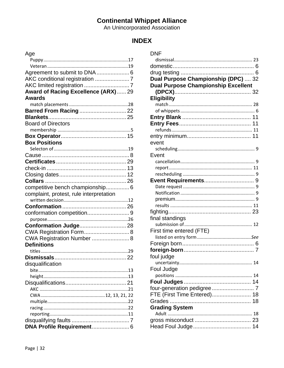## **INDEX**

| Age                                     |  |
|-----------------------------------------|--|
|                                         |  |
|                                         |  |
|                                         |  |
|                                         |  |
|                                         |  |
| Award of Racing Excellence (ARX) 29     |  |
| <b>Awards</b>                           |  |
|                                         |  |
| Barred From Racing  22                  |  |
|                                         |  |
| <b>Board of Directors</b>               |  |
|                                         |  |
|                                         |  |
| <b>Box Positions</b>                    |  |
|                                         |  |
|                                         |  |
|                                         |  |
|                                         |  |
|                                         |  |
|                                         |  |
| competitive bench championship 6        |  |
| complaint, protest, rule interpretation |  |
|                                         |  |
|                                         |  |
|                                         |  |
|                                         |  |
| Conformation Judge 28                   |  |
| CWA Registration Form 8                 |  |
| CWA Registration Number  8              |  |
| <b>Definitions</b>                      |  |
|                                         |  |
|                                         |  |
| disqualification                        |  |
|                                         |  |
|                                         |  |
|                                         |  |
|                                         |  |
|                                         |  |
|                                         |  |
|                                         |  |
|                                         |  |
|                                         |  |
|                                         |  |

| <b>DNF</b>                                 |  |
|--------------------------------------------|--|
|                                            |  |
|                                            |  |
|                                            |  |
| Dual Purpose Championship (DPC)  32        |  |
| <b>Dual Purpose Championship Excellent</b> |  |
|                                            |  |
| <b>Eligibility</b>                         |  |
|                                            |  |
|                                            |  |
|                                            |  |
|                                            |  |
|                                            |  |
|                                            |  |
| event                                      |  |
|                                            |  |
| Event                                      |  |
|                                            |  |
|                                            |  |
|                                            |  |
|                                            |  |
|                                            |  |
|                                            |  |
|                                            |  |
|                                            |  |
|                                            |  |
| final standings                            |  |
|                                            |  |
| First time entered (FTE)                   |  |
|                                            |  |
|                                            |  |
| foul judge                                 |  |
|                                            |  |
| Foul Judge                                 |  |
|                                            |  |
|                                            |  |
| four-generation pedigree  7                |  |
| FTE (First Time Entered) 18                |  |
|                                            |  |
| <b>Grading System</b>                      |  |
|                                            |  |
|                                            |  |
|                                            |  |
|                                            |  |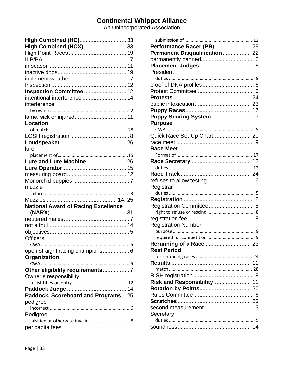An Unincorporated Association

| High Combined (HC) 33                      |
|--------------------------------------------|
| High Combined (HCX)  33                    |
|                                            |
|                                            |
|                                            |
|                                            |
|                                            |
|                                            |
| Inspection Committee  12                   |
| intentional interference  14               |
| interference                               |
|                                            |
|                                            |
| Location                                   |
|                                            |
|                                            |
|                                            |
| lure                                       |
|                                            |
| Lure and Lure Machine  26                  |
|                                            |
|                                            |
|                                            |
| muzzle                                     |
|                                            |
|                                            |
|                                            |
|                                            |
| <b>National Award of Racing Excellence</b> |
|                                            |
|                                            |
|                                            |
|                                            |
| <b>Officers</b>                            |
| 5<br><b>CWA</b>                            |
|                                            |
| Organization                               |
|                                            |
| Other eligibility requirements7            |
| Owner's responsibility                     |
|                                            |
|                                            |
| Paddock, Scoreboard and Programs 25        |
| pedigree                                   |
|                                            |
| Pedigree                                   |
| per capita fees                            |

| Performance Racer (PR) 29       |
|---------------------------------|
| Permanent Disqualification  22  |
|                                 |
|                                 |
| President                       |
|                                 |
|                                 |
|                                 |
|                                 |
|                                 |
|                                 |
|                                 |
| <b>Puppy Scoring System  17</b> |
| <b>Purpose</b>                  |
|                                 |
| Quick Race Set-Up Chart 20      |
|                                 |
| <b>Race Meet</b>                |
|                                 |
|                                 |
|                                 |
|                                 |
|                                 |
| Registrar                       |
|                                 |
|                                 |
|                                 |
|                                 |
|                                 |
|                                 |
| <b>Registration Number</b>      |
|                                 |
|                                 |
|                                 |
| <b>Rest Period</b>              |
|                                 |
|                                 |
|                                 |
|                                 |
| Risk and Responsibility 11      |
|                                 |
|                                 |
|                                 |
|                                 |
| Secretary                       |
|                                 |
|                                 |
|                                 |